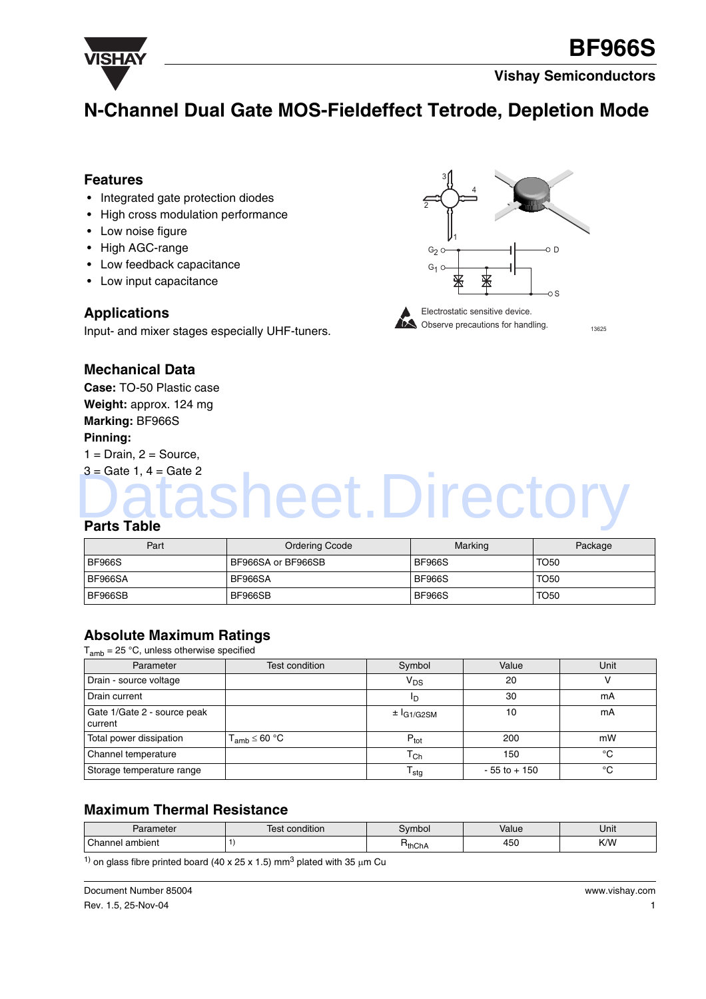

## **N-Channel Dual Gate MOS-Fieldeffect Tetrode, Depletion Mode**

#### **Features**

- Integrated gate protection diodes
- High cross modulation performance
- Low noise figure
- High AGC-range
- Low feedback capacitance
- Low input capacitance

#### **Applications**

Input- and mixer stages especially UHF-tuners.





13625

#### **Mechanical Data**

**Case:** TO-50 Plastic case **Weight:** approx. 124 mg **Marking:** BF966S **Pinning:**

 $1 = Drain, 2 = Source,$ 

## $3 =$  Gate 1,  $4 =$  Gate 2 **Parts Table** asheet.Directory

| Part          | <b>Ordering Ccode</b> | Marking       | Package     |
|---------------|-----------------------|---------------|-------------|
| <b>BF966S</b> | BF966SA or BF966SB    | <b>BF966S</b> | <b>TO50</b> |
| BF966SA       | BF966SA               | <b>BF966S</b> | <b>TO50</b> |
| BF966SB       | BF966SB               | <b>BF966S</b> | <b>TO50</b> |

### **Absolute Maximum Ratings**

 $T_{amb}$  = 25 °C, unless otherwise specified

| Parameter                              | Test condition       | Symbol              | Value           | Unit |
|----------------------------------------|----------------------|---------------------|-----------------|------|
| Drain - source voltage                 |                      | $V_{DS}$            | 20              |      |
| Drain current                          |                      | חי                  | 30              | mA   |
| Gate 1/Gate 2 - source peak<br>current |                      | $\pm$ $I_{G1/G2SM}$ | 10              | mA   |
| Total power dissipation                | $T_{amb} \leq 60 °C$ | $P_{\text{tot}}$    | 200             | mW   |
| Channel temperature                    |                      | $\mathtt{T_{Ch}}$   | 150             | °C   |
| Storage temperature range              |                      | <sup>I</sup> stq    | $-55$ to $+150$ | °C   |

### **Maximum Thermal Resistance**

| arameter<br>سم ا | <br>condition<br>OC<br>ו סט | svmbol | Value         | .<br>Unit |
|------------------|-----------------------------|--------|---------------|-----------|
| Channel ambient  |                             | HthChA | .<br>45<br>∽∪ | K/W       |

<sup>1)</sup> on glass fibre printed board (40 x 25 x 1.5) mm<sup>3</sup> plated with 35  $\mu$ m Cu

Document Number 85004 Rev. 1.5, 25-Nov-04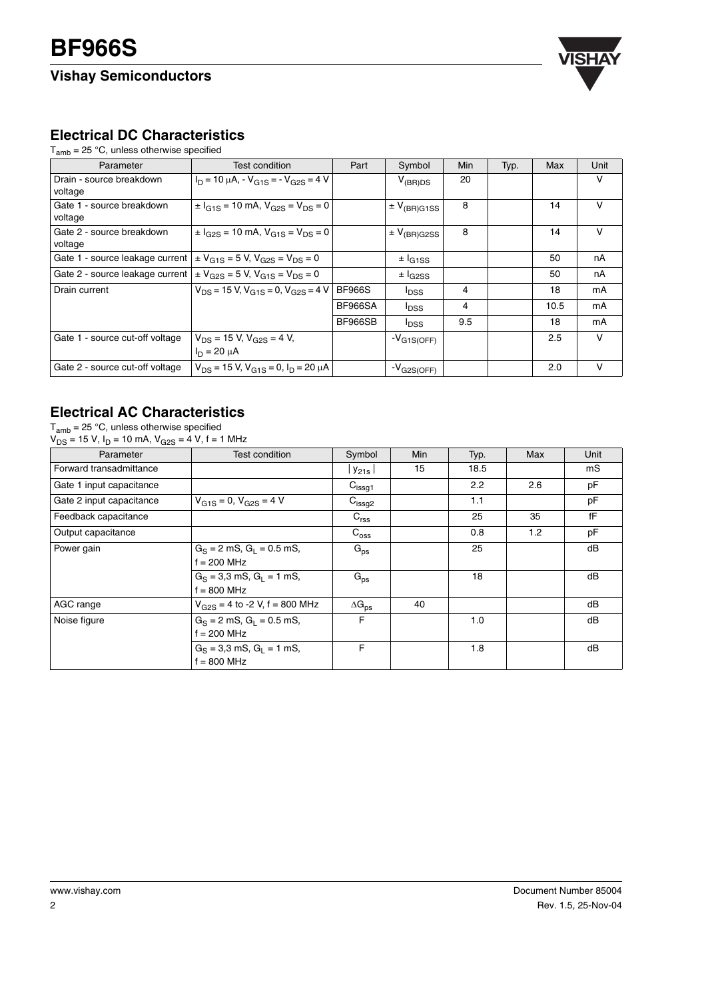

## **Electrical DC Characteristics**

 $T_{amb}$  = 25 °C, unless otherwise specified

| Parameter                                                                          | Test condition                                        | Part          | Symbol                      | <b>Min</b> | Typ. | Max  | Unit   |
|------------------------------------------------------------------------------------|-------------------------------------------------------|---------------|-----------------------------|------------|------|------|--------|
| Drain - source breakdown<br>voltage                                                | $I_D = 10 \mu A$ , $V_{G1S} = -V_{G2S} = 4 V$         |               | $V_{(BR)DS}$                | 20         |      |      | v      |
| Gate 1 - source breakdown<br>voltage                                               | $\pm I_{G1S}$ = 10 mA, $V_{G2S}$ = $V_{DS}$ = 0       |               | $\pm$ V <sub>(BR)G1SS</sub> | 8          |      | 14   | V      |
| Gate 2 - source breakdown<br>voltage                                               | $\pm I_{G2S} = 10$ mA, $V_{G1S} = V_{DS} = 0$         |               | $\pm$ $V_{(BR)G2SS}$        | 8          |      | 14   | V      |
| Gate 1 - source leakage current $\vert \pm V_{G1S} = 5 V$ , $V_{G2S} = V_{DS} = 0$ |                                                       |               | $±$ $I_{G1SS}$              |            |      | 50   | nA     |
| Gate 2 - source leakage current $\vert \pm V_{G2S} = 5 V$ , $V_{G1S} = V_{DS} = 0$ |                                                       |               | $\pm$ $I_{G2SS}$            |            |      | 50   | nA     |
| Drain current                                                                      | $V_{DS}$ = 15 V, $V_{G1S}$ = 0, $V_{G2S}$ = 4 V       | <b>BF966S</b> | <sup>I</sup> <sub>DSS</sub> | 4          |      | 18   | mA     |
|                                                                                    |                                                       | BF966SA       | <sup>I</sup> DSS            | 4          |      | 10.5 | mA     |
|                                                                                    |                                                       | BF966SB       | <sup>I</sup> DSS            | 9.5        |      | 18   | mA     |
| Gate 1 - source cut-off voltage                                                    | $V_{DS}$ = 15 V, $V_{G2S}$ = 4 V,<br>$I_D = 20 \mu A$ |               | $-V_{G1S(OFF)}$             |            |      | 2.5  | $\vee$ |
| Gate 2 - source cut-off voltage                                                    | $V_{DS}$ = 15 V, $V_{G1S}$ = 0, $I_D$ = 20 $\mu$ A    |               | $-V_{G2S(OFF)}$             |            |      | 2.0  | V      |

## **Electrical AC Characteristics**

 ${\sf T}_{\sf amb}$  = 25 °C, unless otherwise specified  $V_{DS}$  = 15 V, I<sub>D</sub> = 10 mA, V<sub>G2S</sub> = 4 V, f = 1 MHz

| Parameter                | Test condition                               | Symbol                 | <b>Min</b> | Typ. | Max | Unit |
|--------------------------|----------------------------------------------|------------------------|------------|------|-----|------|
| Forward transadmittance  |                                              | Y21s                   | 15         | 18.5 |     | mS   |
| Gate 1 input capacitance |                                              | C <sub>issg1</sub>     |            | 2.2  | 2.6 | pF   |
| Gate 2 input capacitance | $V_{G1S} = 0$ , $V_{G2S} = 4$ V              | $C_{\text{issg2}}$     |            | 1.1  |     | рF   |
| Feedback capacitance     |                                              | $C_{\text{rss}}$       |            | 25   | 35  | fF   |
| Output capacitance       |                                              | $C_{\rm oss}$          |            | 0.8  | 1.2 | рF   |
| Power gain               | $G_S = 2$ mS, $G_I = 0.5$ mS,<br>f = 200 MHz | $G_{\text{ps}}$        |            | 25   |     | dB   |
|                          | $G_S = 3.3$ mS, $G_L = 1$ mS,<br>f = 800 MHz | $G_{\text{ps}}$        |            | 18   |     | dB   |
| AGC range                | $V_{G2S}$ = 4 to -2 V, f = 800 MHz           | $\Delta G_{\text{ps}}$ | 40         |      |     | dB   |
| Noise figure             | $G_S = 2$ mS, $G_I = 0.5$ mS,<br>f = 200 MHz | F                      |            | 1.0  |     | dB   |
|                          | $G_S = 3.3$ mS, $G_L = 1$ mS,<br>f = 800 MHz | F                      |            | 1.8  |     | dB   |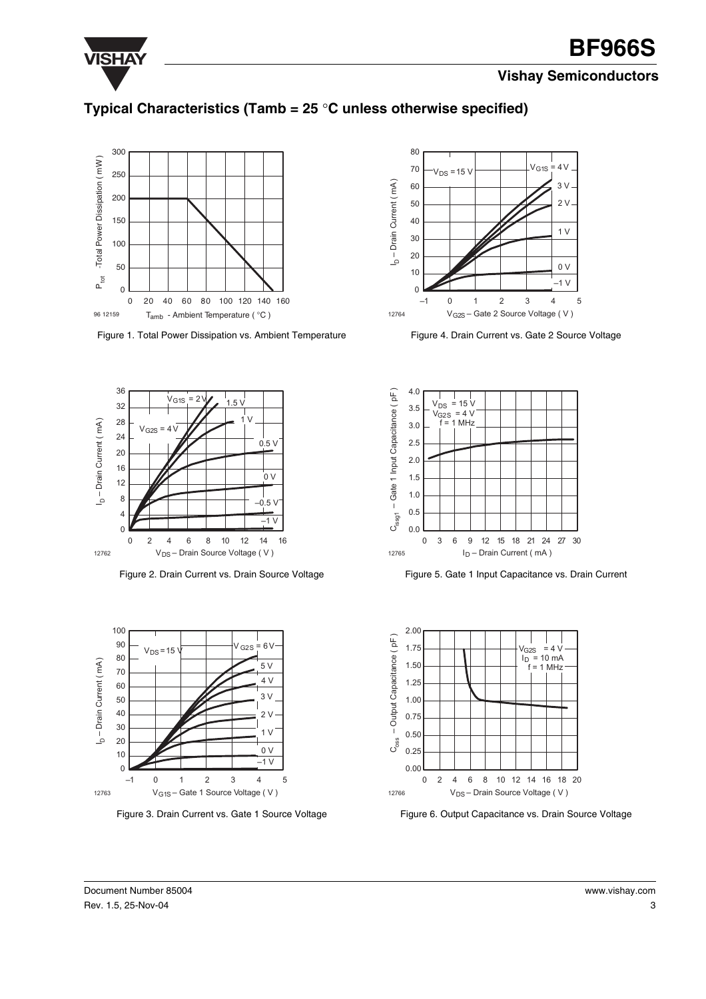

## **Typical Characteristics (Tamb = 25** °**C unless otherwise specified)**



Figure 1. Total Power Dissipation vs. Ambient Temperature



Figure 2. Drain Current vs. Drain Source Voltage



Figure 3. Drain Current vs. Gate 1 Source Voltage



Figure 4. Drain Current vs. Gate 2 Source Voltage



Figure 5. Gate 1 Input Capacitance vs. Drain Current



Figure 6. Output Capacitance vs. Drain Source Voltage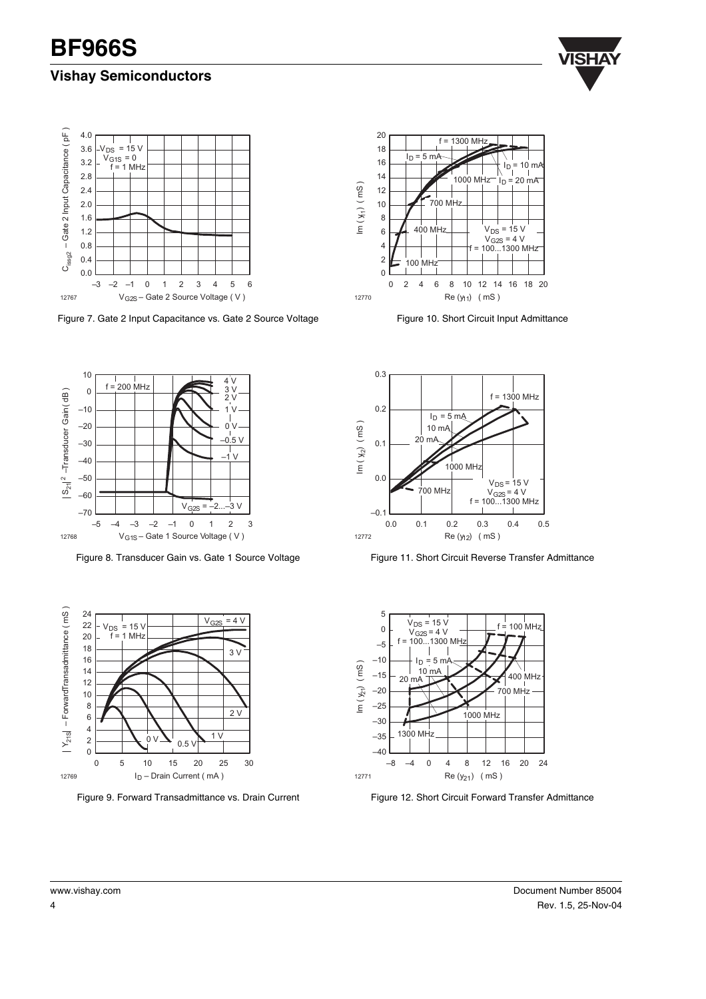



Figure 7. Gate 2 Input Capacitance vs. Gate 2 Source Voltage



Figure 10. Short Circuit Input Admittance



Figure 8. Transducer Gain vs. Gate 1 Source Voltage



Figure 9. Forward Transadmittance vs. Drain Current



Figure 11. Short Circuit Reverse Transfer Admittance



Figure 12. Short Circuit Forward Transfer Admittance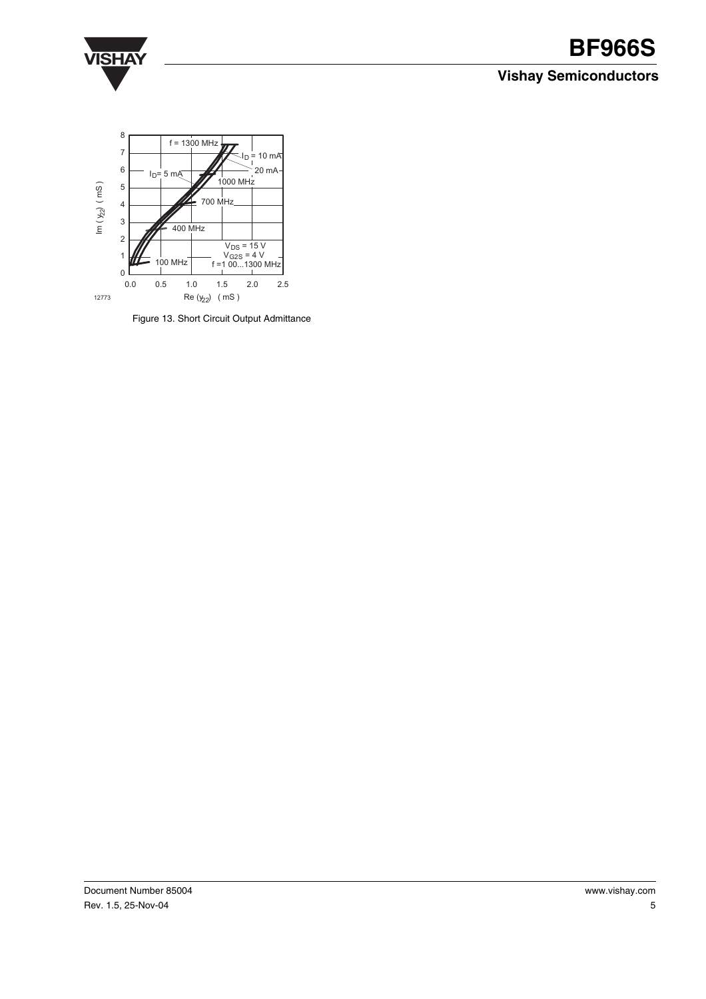

# **VISHAY BF966S**

## **Vishay Semiconductors**



Figure 13. Short Circuit Output Admittance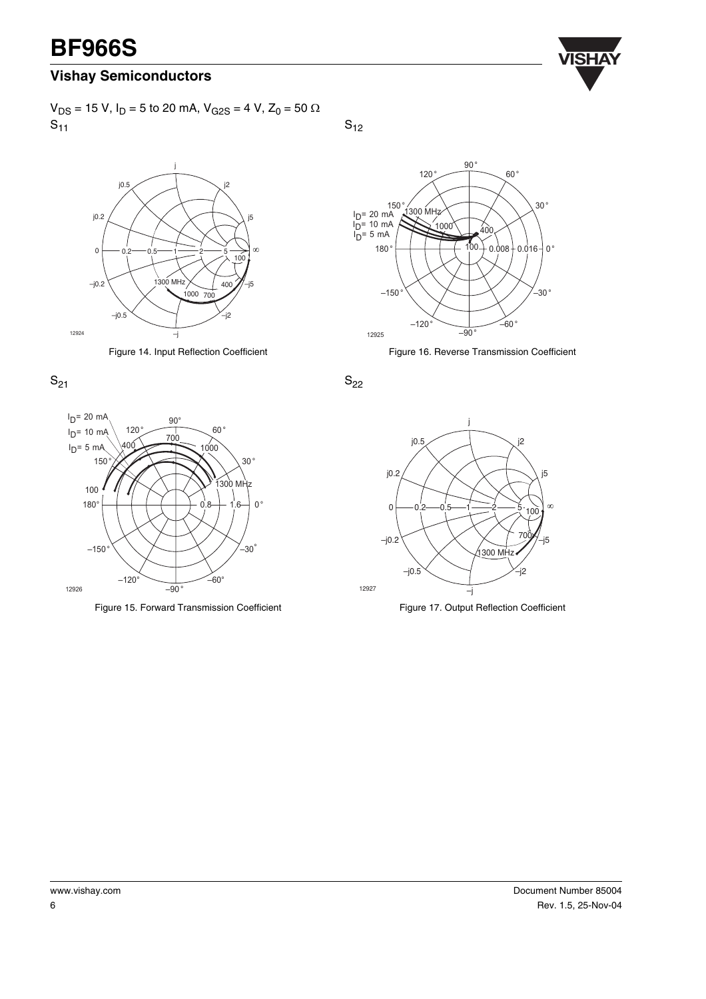# **BF966S VISHAY**

## **Vishay Semiconductors**

 $V_{DS}$  = 15 V, I<sub>D</sub> = 5 to 20 mA, V<sub>G2S</sub> = 4 V, Z<sub>0</sub> = 50 Ω  $S_{11}$ 



Figure 14. Input Reflection Coefficient





Figure 15. Forward Transmission Coefficient

 $S_{12}$ 



Figure 16. Reverse Transmission Coefficient

 $S_{22}$ 





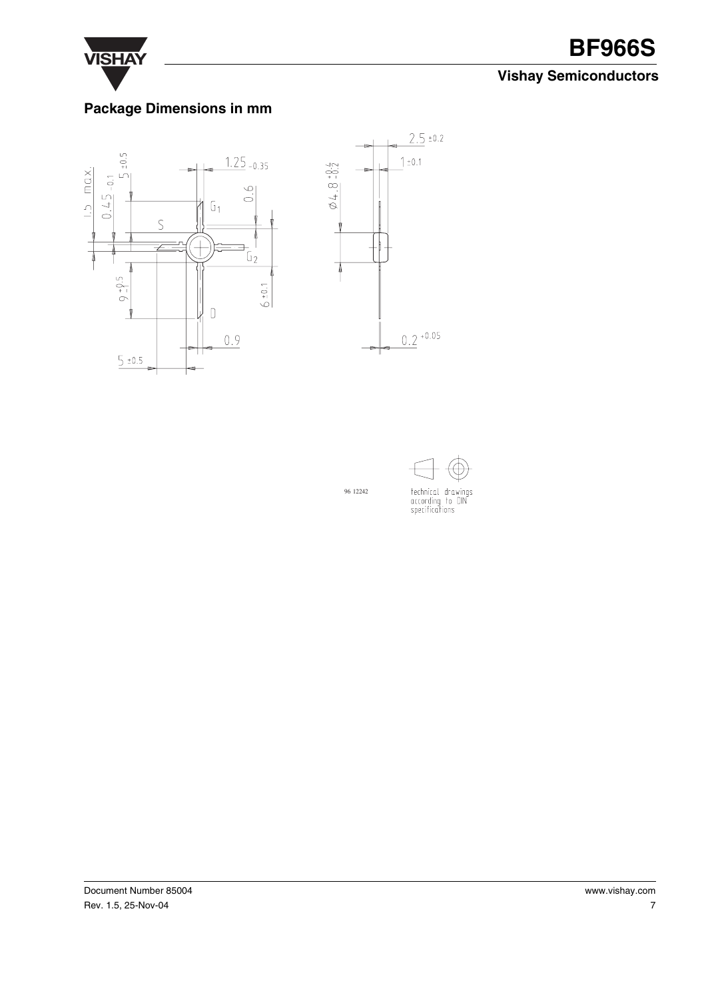

# **VISHAY BF966S**

## **Vishay Semiconductors**

## **Package Dimensions in mm**





96 12242



Document Number 85004 Rev. 1.5, 25-Nov-04